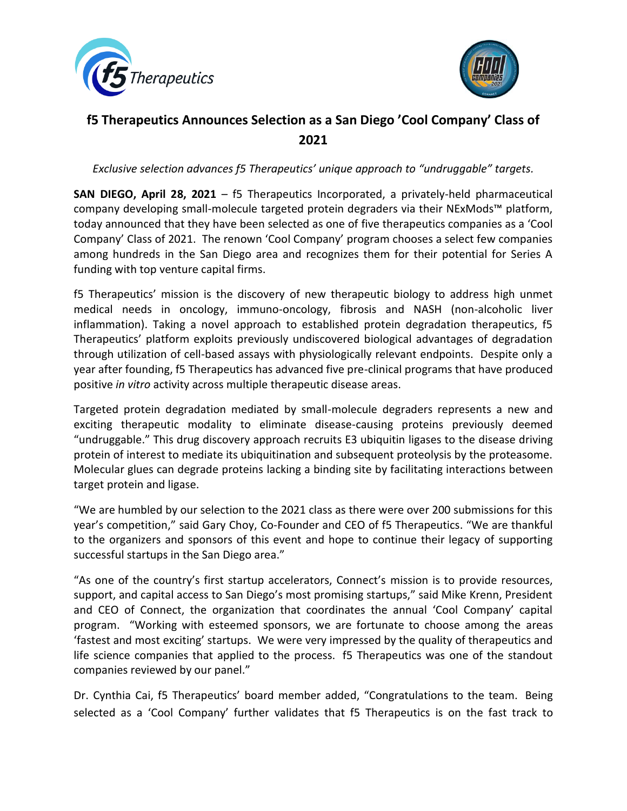



## **f5 Therapeutics Announces Selection as a San Diego 'Cool Company' Class of 2021**

*Exclusive selection advances f5 Therapeutics' unique approach to "undruggable" targets.*

**SAN DIEGO, April 28, 2021** – f5 Therapeutics Incorporated, a privately-held pharmaceutical company developing small-molecule targeted protein degraders via their NExMods™ platform, today announced that they have been selected as one of five therapeutics companies as a 'Cool Company' Class of 2021. The renown 'Cool Company' program chooses a select few companies among hundreds in the San Diego area and recognizes them for their potential for Series A funding with top venture capital firms.

f5 Therapeutics' mission is the discovery of new therapeutic biology to address high unmet medical needs in oncology, immuno-oncology, fibrosis and NASH (non-alcoholic liver inflammation). Taking a novel approach to established protein degradation therapeutics, f5 Therapeutics' platform exploits previously undiscovered biological advantages of degradation through utilization of cell-based assays with physiologically relevant endpoints. Despite only a year after founding, f5 Therapeutics has advanced five pre-clinical programs that have produced positive *in vitro* activity across multiple therapeutic disease areas.

Targeted protein degradation mediated by small-molecule degraders represents a new and exciting therapeutic modality to eliminate disease-causing proteins previously deemed "undruggable." This drug discovery approach recruits E3 ubiquitin ligases to the disease driving protein of interest to mediate its ubiquitination and subsequent proteolysis by the proteasome. Molecular glues can degrade proteins lacking a binding site by facilitating interactions between target protein and ligase.

"We are humbled by our selection to the 2021 class as there were over 200 submissions for this year's competition," said Gary Choy, Co-Founder and CEO of f5 Therapeutics. "We are thankful to the organizers and sponsors of this event and hope to continue their legacy of supporting successful startups in the San Diego area."

"As one of the country's first startup accelerators, Connect's mission is to provide resources, support, and capital access to San Diego's most promising startups," said Mike Krenn, President and CEO of Connect, the organization that coordinates the annual 'Cool Company' capital program. "Working with esteemed sponsors, we are fortunate to choose among the areas 'fastest and most exciting' startups. We were very impressed by the quality of therapeutics and life science companies that applied to the process. f5 Therapeutics was one of the standout companies reviewed by our panel."

Dr. Cynthia Cai, f5 Therapeutics' board member added, "Congratulations to the team. Being selected as a 'Cool Company' further validates that f5 Therapeutics is on the fast track to